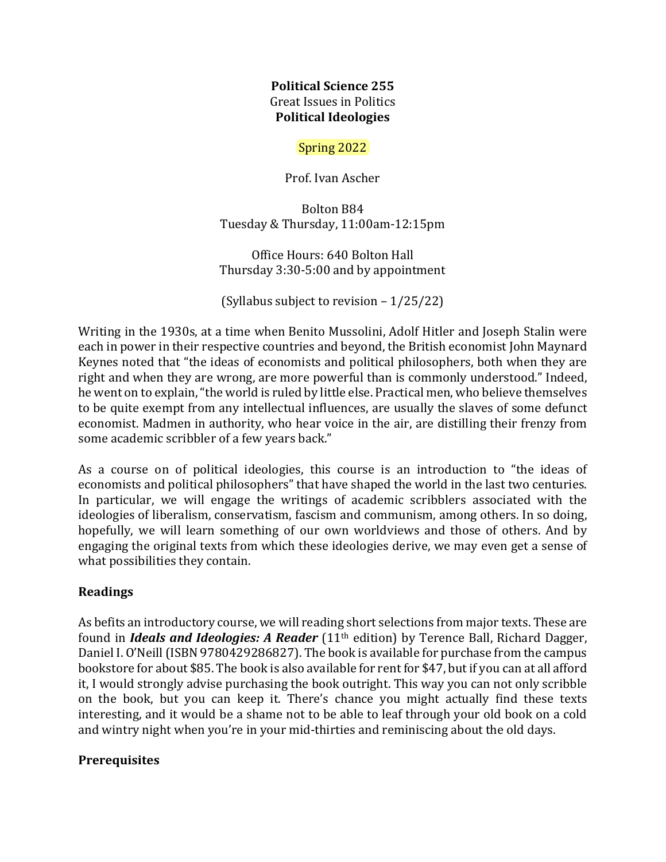## **Political Science 255** Great Issues in Politics **Political Ideologies**

## Spring 2022

Prof. Ivan Ascher

Bolton B84 Tuesday & Thursday, 11:00am-12:15pm

Office Hours: 640 Bolton Hall Thursday 3:30-5:00 and by appointment

(Syllabus subject to revision – 1/25/22)

Writing in the 1930s, at a time when Benito Mussolini, Adolf Hitler and Joseph Stalin were each in power in their respective countries and beyond, the British economist John Maynard Keynes noted that "the ideas of economists and political philosophers, both when they are right and when they are wrong, are more powerful than is commonly understood." Indeed, he went on to explain, "the world is ruled by little else. Practical men, who believe themselves to be quite exempt from any intellectual influences, are usually the slaves of some defunct economist. Madmen in authority, who hear voice in the air, are distilling their frenzy from some academic scribbler of a few years back."

As a course on of political ideologies, this course is an introduction to "the ideas of economists and political philosophers" that have shaped the world in the last two centuries. In particular, we will engage the writings of academic scribblers associated with the ideologies of liberalism, conservatism, fascism and communism, among others. In so doing, hopefully, we will learn something of our own worldviews and those of others. And by engaging the original texts from which these ideologies derive, we may even get a sense of what possibilities they contain.

## **Readings**

As befits an introductory course, we will reading short selections from major texts. These are found in *Ideals and Ideologies: A Reader* (11th edition) by Terence Ball, Richard Dagger, Daniel I. O'Neill (ISBN 9780429286827). The book is available for purchase from the campus bookstore for about \$85. The book is also available for rent for \$47, but if you can at all afford it, I would strongly advise purchasing the book outright. This way you can not only scribble on the book, but you can keep it. There's chance you might actually find these texts interesting, and it would be a shame not to be able to leaf through your old book on a cold and wintry night when you're in your mid-thirties and reminiscing about the old days.

## **Prerequisites**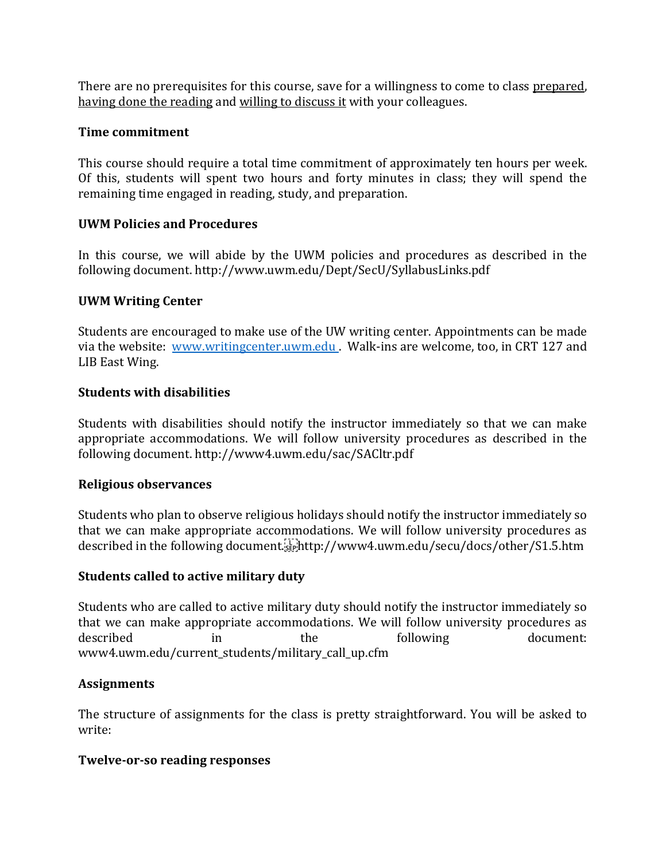There are no prerequisites for this course, save for a willingness to come to class prepared, having done the reading and willing to discuss it with your colleagues.

## **Time commitment**

This course should require a total time commitment of approximately ten hours per week. Of this, students will spent two hours and forty minutes in class; they will spend the remaining time engaged in reading, study, and preparation.

## **UWM Policies and Procedures**

In this course, we will abide by the UWM policies and procedures as described in the following document. http://www.uwm.edu/Dept/SecU/SyllabusLinks.pdf

## **UWM Writing Center**

Students are encouraged to make use of the UW writing center. Appointments can be made via the website: www.writingcenter.uwm.edu . Walk-ins are welcome, too, in CRT 127 and LIB East Wing.

## **Students with disabilities**

Students with disabilities should notify the instructor immediately so that we can make appropriate accommodations. We will follow university procedures as described in the following document. http://www4.uwm.edu/sac/SACltr.pdf

## **Religious observances**

Students who plan to observe religious holidays should notify the instructor immediately so that we can make appropriate accommodations. We will follow university procedures as described in the following document.<sup>[17]</sup>http://www4.uwm.edu/secu/docs/other/S1.5.htm

## **Students called to active military duty**

Students who are called to active military duty should notify the instructor immediately so that we can make appropriate accommodations. We will follow university procedures as described in the following document: www4.uwm.edu/current\_students/military\_call\_up.cfm

## **Assignments**

The structure of assignments for the class is pretty straightforward. You will be asked to write:

## **Twelve‐or‐so reading responses**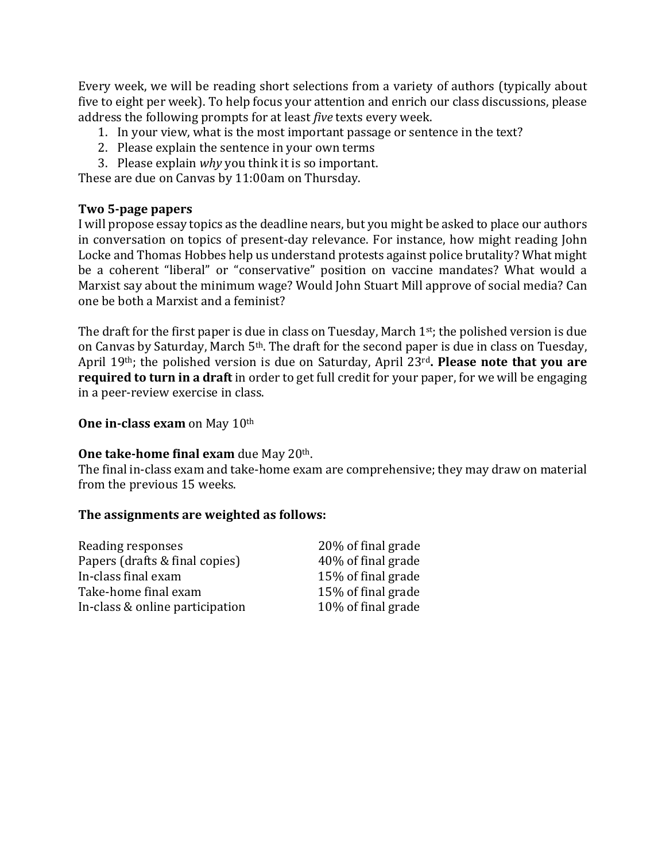Every week, we will be reading short selections from a variety of authors (typically about five to eight per week). To help focus your attention and enrich our class discussions, please address the following prompts for at least *five* texts every week.

- 1. In your view, what is the most important passage or sentence in the text?
- 2. Please explain the sentence in your own terms
- 3. Please explain *why* you think it is so important.

These are due on Canvas by 11:00am on Thursday.

## **Two 5‐page papers**

I will propose essay topics as the deadline nears, but you might be asked to place our authors in conversation on topics of present-day relevance. For instance, how might reading John Locke and Thomas Hobbes help us understand protests against police brutality? What might be a coherent "liberal" or "conservative" position on vaccine mandates? What would a Marxist say about the minimum wage? Would John Stuart Mill approve of social media? Can one be both a Marxist and a feminist?

The draft for the first paper is due in class on Tuesday, March 1st; the polished version is due on Canvas by Saturday, March 5<sup>th</sup>. The draft for the second paper is due in class on Tuesday. April 19th; the polished version is due on Saturday, April 23rd**. Please note that you are required to turn in a draft** in order to get full credit for your paper, for we will be engaging in a peer-review exercise in class.

**One in‐class exam** on May 10th

## **One take‐home final exam** due May 20th.

The final in-class exam and take-home exam are comprehensive; they may draw on material from the previous 15 weeks.

### **The assignments are weighted as follows:**

| Reading responses               | 20% of final grade |
|---------------------------------|--------------------|
| Papers (drafts & final copies)  | 40% of final grade |
| In-class final exam             | 15% of final grade |
| Take-home final exam            | 15% of final grade |
| In-class & online participation | 10% of final grade |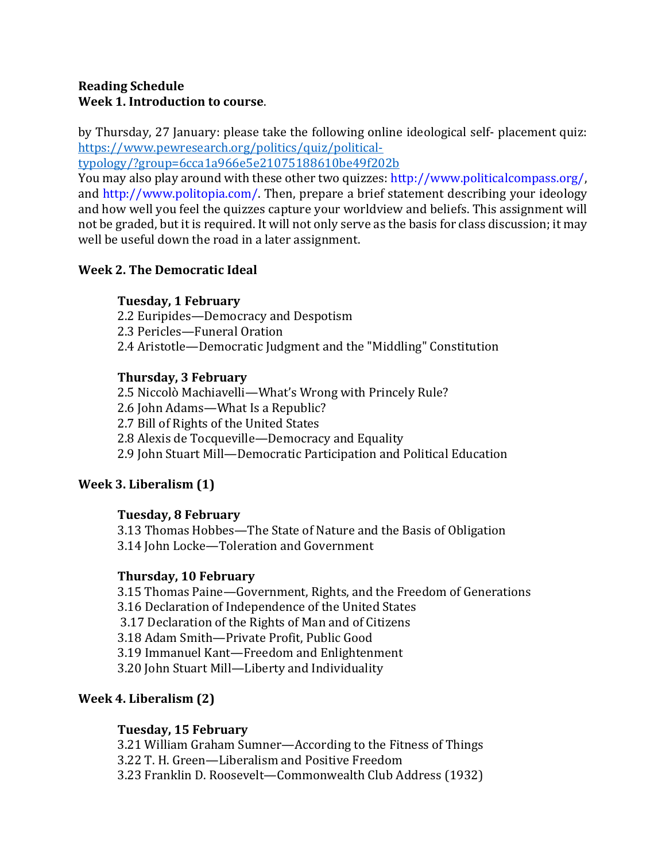## **Reading Schedule Week 1. Introduction to course**.

by Thursday, 27 January: please take the following online ideological self- placement quiz: https://www.pewresearch.org/politics/quiz/political-

typology/?group=6cca1a966e5e21075188610be49f202b

You may also play around with these other two quizzes: http://www.politicalcompass.org/, and http://www.politopia.com/. Then, prepare a brief statement describing your ideology and how well you feel the quizzes capture your worldview and beliefs. This assignment will not be graded, but it is required. It will not only serve as the basis for class discussion; it may well be useful down the road in a later assignment.

## **Week 2. The Democratic Ideal**

## **Tuesday, 1 February**

2.2 Euripides—Democracy and Despotism 2.3 Pericles—Funeral Oration 2.4 Aristotle—Democratic Judgment and the "Middling" Constitution

## **Thursday, 3 February**

2.5 Niccolò Machiavelli—What's Wrong with Princely Rule? 2.6 John Adams—What Is a Republic? 2.7 Bill of Rights of the United States 2.8 Alexis de Tocqueville—Democracy and Equality 2.9 John Stuart Mill—Democratic Participation and Political Education

## **Week 3. Liberalism (1)**

## **Tuesday, 8 February**

3.13 Thomas Hobbes—The State of Nature and the Basis of Obligation 3.14 John Locke—Toleration and Government

## **Thursday, 10 February**

3.15 Thomas Paine—Government, Rights, and the Freedom of Generations 3.16 Declaration of Independence of the United States 3.17 Declaration of the Rights of Man and of Citizens 3.18 Adam Smith—Private Profit, Public Good 3.19 Immanuel Kant—Freedom and Enlightenment 3.20 John Stuart Mill—Liberty and Individuality

# **Week 4. Liberalism (2)**

## **Tuesday, 15 February**

3.21 William Graham Sumner—According to the Fitness of Things 3.22 T. H. Green—Liberalism and Positive Freedom 3.23 Franklin D. Roosevelt—Commonwealth Club Address (1932)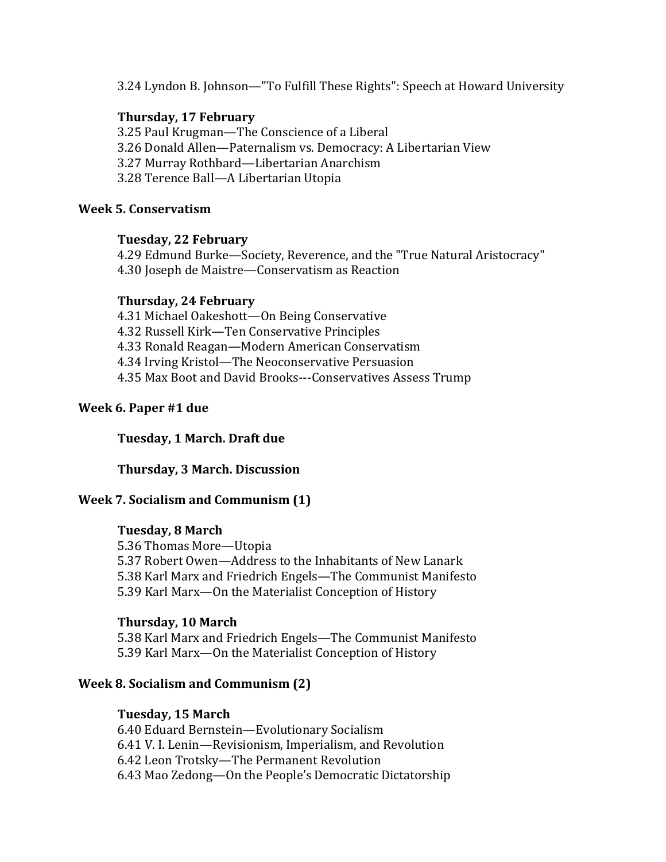3.24 Lyndon B. Johnson—"To Fulfill These Rights": Speech at Howard University

### **Thursday, 17 February**

3.25 Paul Krugman—The Conscience of a Liberal 3.26 Donald Allen—Paternalism vs. Democracy: A Libertarian View 3.27 Murray Rothbard—Libertarian Anarchism 3.28 Terence Ball—A Libertarian Utopia

### **Week 5. Conservatism**

### **Tuesday, 22 February**

4.29 Edmund Burke—Society, Reverence, and the "True Natural Aristocracy" 4.30 Joseph de Maistre—Conservatism as Reaction

#### **Thursday, 24 February**

4.31 Michael Oakeshott—On Being Conservative 4.32 Russell Kirk—Ten Conservative Principles 4.33 Ronald Reagan—Modern American Conservatism 4.34 Irving Kristol—The Neoconservative Persuasion 4.35 Max Boot and David Brooks---Conservatives Assess Trump

#### **Week 6. Paper #1 due**

**Tuesday, 1 March. Draft due**

**Thursday, 3 March. Discussion**

### **Week 7. Socialism and Communism (1)**

#### **Tuesday, 8 March**

5.36 Thomas More—Utopia 5.37 Robert Owen—Address to the Inhabitants of New Lanark 5.38 Karl Marx and Friedrich Engels—The Communist Manifesto 5.39 Karl Marx—On the Materialist Conception of History

#### **Thursday, 10 March**

5.38 Karl Marx and Friedrich Engels—The Communist Manifesto 5.39 Karl Marx—On the Materialist Conception of History

### **Week 8. Socialism and Communism (2)**

#### **Tuesday, 15 March**

6.40 Eduard Bernstein—Evolutionary Socialism 6.41 V. I. Lenin—Revisionism, Imperialism, and Revolution 6.42 Leon Trotsky—The Permanent Revolution 6.43 Mao Zedong—On the People's Democratic Dictatorship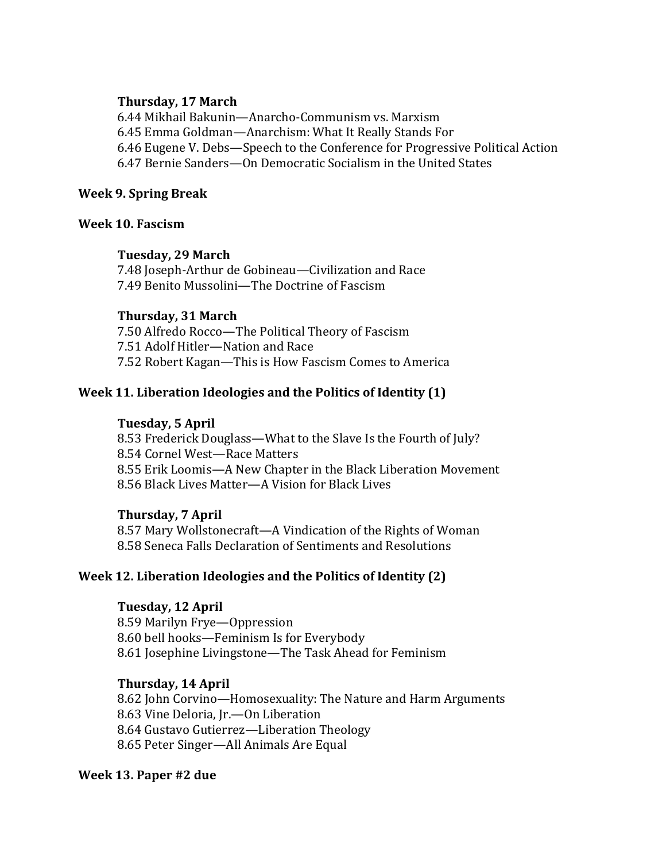## **Thursday, 17 March**

6.44 Mikhail Bakunin—Anarcho-Communism vs. Marxism 6.45 Emma Goldman—Anarchism: What It Really Stands For 6.46 Eugene V. Debs—Speech to the Conference for Progressive Political Action 6.47 Bernie Sanders—On Democratic Socialism in the United States

### **Week 9. Spring Break**

### **Week 10. Fascism**

## **Tuesday, 29 March**

7.48 Joseph-Arthur de Gobineau—Civilization and Race 7.49 Benito Mussolini—The Doctrine of Fascism

## **Thursday, 31 March**

7.50 Alfredo Rocco—The Political Theory of Fascism 7.51 Adolf Hitler—Nation and Race 7.52 Robert Kagan—This is How Fascism Comes to America

## **Week 11. Liberation Ideologies and the Politics of Identity (1)**

## **Tuesday, 5 April**

8.53 Frederick Douglass—What to the Slave Is the Fourth of July? 8.54 Cornel West—Race Matters 8.55 Erik Loomis—A New Chapter in the Black Liberation Movement 8.56 Black Lives Matter—A Vision for Black Lives

## **Thursday, 7 April**

8.57 Mary Wollstonecraft—A Vindication of the Rights of Woman 8.58 Seneca Falls Declaration of Sentiments and Resolutions

## **Week 12. Liberation Ideologies and the Politics of Identity (2)**

## **Tuesday, 12 April**

8.59 Marilyn Frye—Oppression 8.60 bell hooks—Feminism Is for Everybody 8.61 Josephine Livingstone—The Task Ahead for Feminism

## **Thursday, 14 April**

8.62 John Corvino—Homosexuality: The Nature and Harm Arguments 8.63 Vine Deloria, Jr.—On Liberation 8.64 Gustavo Gutierrez—Liberation Theology 8.65 Peter Singer—All Animals Are Equal

### **Week 13. Paper #2 due**